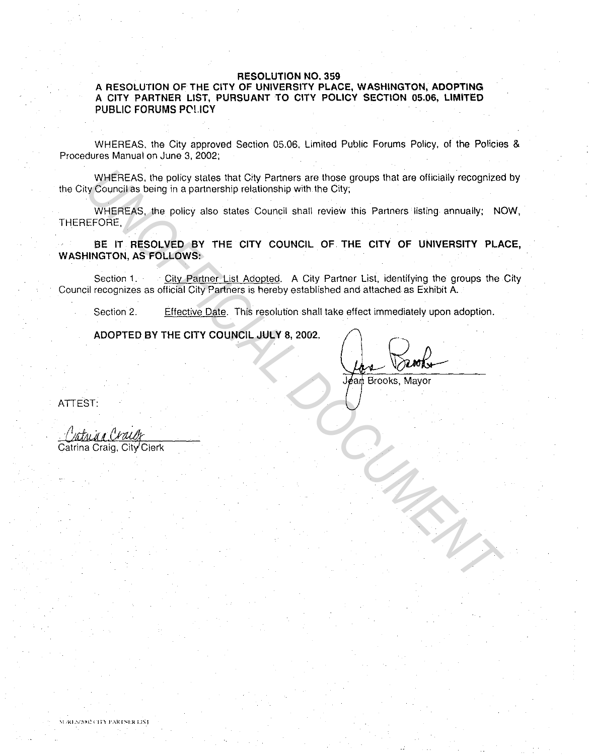## **RESOLUTION NO. 359**

## **A RESOLUTION OF THE CITY OF UNIVERSITY PLACE, WASHINGTON, ADOPTING A CITY PARTNER LIST, PURSUANT TO CITY POLICY SECTION 05.06, LIMITED PUBLIC FORUMS PC'LICY**

WHEREAS. the City approved Section 05.06, Limited Public Forums Policy, of the Policies & Procedures Manual on June 3, 2002;

WHEREAS. the policy states that City Partners are those groups that are officially recognized by the City Council as being in a partnership relationship with the City;

WHEREAS, the policy also states Council shall review this Partners listing annually; NOW, THEREFORE,

**BE IT RESOLVED BY THE CITY COUNCIL OF THE CITY OF UNIVERSITY PLACE, WASHINGTON, AS FOLLOWS:**  WHEREAS, the policy states that City Partners are those groups that are officially recognized<br>
We Council as being in a partnership relationship with the City:<br>
WHEREAS, the policy also states Council shall review this Par

Section 1. City Partner List Adopted. A City Partner List, identifying the groups the City Council recognizes as official City Partners is hereby established and attached as Exhibit A.

Section 2. Effective Date. This resolution shall take effect immediately upon adoption.

**ADOPTED BY THE CITY COUNCIL JULY 8, 2002 .** 

Benoh

ATTEST:

Catrina Craig, City<sup>/</sup>Clerk